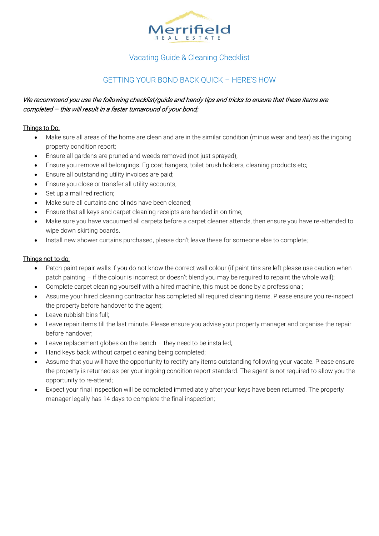

# Vacating Guide & Cleaning Checklist

# GETTING YOUR BOND BACK QUICK – HERE'S HOW

# We recommend you use the following checklist/guide and handy tips and tricks to ensure that these items are completed – this will result in a faster turnaround of your bond;

# Things to Do;

- Make sure all areas of the home are clean and are in the similar condition (minus wear and tear) as the ingoing property condition report;
- Ensure all gardens are pruned and weeds removed (not just sprayed);
- Ensure you remove all belongings. Eg coat hangers, toilet brush holders, cleaning products etc;
- Ensure all outstanding utility invoices are paid;
- Ensure you close or transfer all utility accounts;
- Set up a mail redirection;
- Make sure all curtains and blinds have been cleaned;
- Ensure that all keys and carpet cleaning receipts are handed in on time;
- Make sure you have vacuumed all carpets before a carpet cleaner attends, then ensure you have re-attended to wipe down skirting boards.
- Install new shower curtains purchased, please don't leave these for someone else to complete;

## Things not to do;

- Patch paint repair walls if you do not know the correct wall colour (if paint tins are left please use caution when patch painting – if the colour is incorrect or doesn't blend you may be required to repaint the whole wall);
- Complete carpet cleaning yourself with a hired machine, this must be done by a professional;
- Assume your hired cleaning contractor has completed all required cleaning items. Please ensure you re-inspect the property before handover to the agent;
- Leave rubbish bins full;
- Leave repair items till the last minute. Please ensure you advise your property manager and organise the repair before handover;
- Leave replacement globes on the bench  $-$  they need to be installed;
- Hand keys back without carpet cleaning being completed;
- Assume that you will have the opportunity to rectify any items outstanding following your vacate. Please ensure the property is returned as per your ingoing condition report standard. The agent is not required to allow you the opportunity to re-attend;
- Expect your final inspection will be completed immediately after your keys have been returned. The property manager legally has 14 days to complete the final inspection;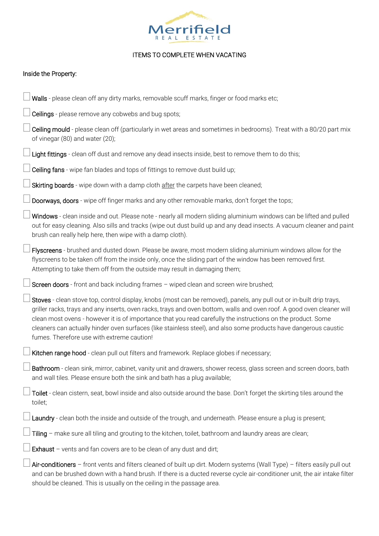

# ITEMS TO COMPLETE WHEN VACATING

## Inside the Property:

| Walls - please clean off any dirty marks, removable scuff marks, finger or food marks etc;                                                                                                                                                                                                                                                                                                                                                                                                                                       |
|----------------------------------------------------------------------------------------------------------------------------------------------------------------------------------------------------------------------------------------------------------------------------------------------------------------------------------------------------------------------------------------------------------------------------------------------------------------------------------------------------------------------------------|
| Ceilings - please remove any cobwebs and bug spots;                                                                                                                                                                                                                                                                                                                                                                                                                                                                              |
| Ceiling mould - please clean off (particularly in wet areas and sometimes in bedrooms). Treat with a 80/20 part mix<br>of vinegar (80) and water (20);                                                                                                                                                                                                                                                                                                                                                                           |
| Light fittings - clean off dust and remove any dead insects inside, best to remove them to do this;                                                                                                                                                                                                                                                                                                                                                                                                                              |
| Ceiling fans - wipe fan blades and tops of fittings to remove dust build up;                                                                                                                                                                                                                                                                                                                                                                                                                                                     |
| Skirting boards - wipe down with a damp cloth after the carpets have been cleaned;                                                                                                                                                                                                                                                                                                                                                                                                                                               |
| Doorways, doors - wipe off finger marks and any other removable marks, don't forget the tops;                                                                                                                                                                                                                                                                                                                                                                                                                                    |
| Windows - clean inside and out. Please note - nearly all modern sliding aluminium windows can be lifted and pulled<br>out for easy cleaning. Also sills and tracks (wipe out dust build up and any dead insects. A vacuum cleaner and paint<br>brush can really help here, then wipe with a damp cloth).                                                                                                                                                                                                                         |
| Flyscreens - brushed and dusted down. Please be aware, most modern sliding aluminium windows allow for the<br>flyscreens to be taken off from the inside only, once the sliding part of the window has been removed first.<br>Attempting to take them off from the outside may result in damaging them;                                                                                                                                                                                                                          |
| Screen doors - front and back including frames - wiped clean and screen wire brushed;                                                                                                                                                                                                                                                                                                                                                                                                                                            |
| Stoves - clean stove top, control display, knobs (most can be removed), panels, any pull out or in-built drip trays,<br>griller racks, trays and any inserts, oven racks, trays and oven bottom, walls and oven roof. A good oven cleaner will<br>clean most ovens - however it is of importance that you read carefully the instructions on the product. Some<br>cleaners can actually hinder oven surfaces (like stainless steel), and also some products have dangerous caustic<br>fumes. Therefore use with extreme caution! |
| Kitchen range hood - clean pull out filters and framework. Replace globes if necessary;                                                                                                                                                                                                                                                                                                                                                                                                                                          |
| Bathroom - clean sink, mirror, cabinet, vanity unit and drawers, shower recess, glass screen and screen doors, bath<br>and wall tiles. Please ensure both the sink and bath has a plug available;                                                                                                                                                                                                                                                                                                                                |
| Toilet - clean cistern, seat, bowl inside and also outside around the base. Don't forget the skirting tiles around the<br>toilet;                                                                                                                                                                                                                                                                                                                                                                                                |
| Laundry - clean both the inside and outside of the trough, and underneath. Please ensure a plug is present;                                                                                                                                                                                                                                                                                                                                                                                                                      |
| Tiling - make sure all tiling and grouting to the kitchen, toilet, bathroom and laundry areas are clean;                                                                                                                                                                                                                                                                                                                                                                                                                         |
| Exhaust $-$ vents and fan covers are to be clean of any dust and dirt;                                                                                                                                                                                                                                                                                                                                                                                                                                                           |
| Air-conditioners - front vents and filters cleaned of built up dirt. Modern systems (Wall Type) - filters easily pull out<br>and can be brushed down with a hand brush. If there is a ducted reverse cycle air-conditioner unit, the air intake filter<br>should be cleaned. This is usually on the ceiling in the passage area.                                                                                                                                                                                                 |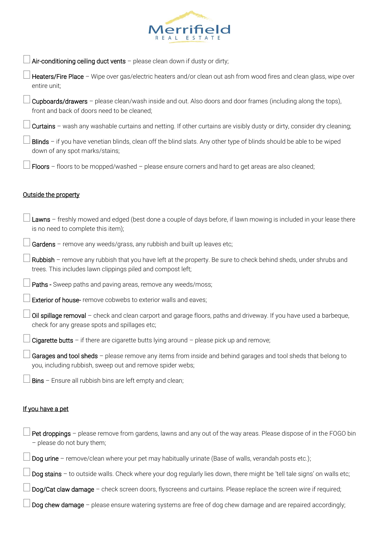

Air-conditioning ceiling duct vents  $-$  please clean down if dusty or dirty;

Heaters/Fire Place - Wipe over gas/electric heaters and/or clean out ash from wood fires and clean glass, wipe over entire unit;

 $\rfloor$  Cupboards/drawers – please clean/wash inside and out. Also doors and door frames (including along the tops), front and back of doors need to be cleaned;

Curtains – wash any washable curtains and netting. If other curtains are visibly dusty or dirty, consider dry cleaning;

Blinds – if you have venetian blinds, clean off the blind slats. Any other type of blinds should be able to be wiped down of any spot marks/stains;

Floors  $-$  floors to be mopped/washed  $-$  please ensure corners and hard to get areas are also cleaned;

#### Outside the property

| Lawns - freshly mowed and edged (best done a couple of days before, if lawn mowing is included in your lease there<br>is no need to complete this item);                        |
|---------------------------------------------------------------------------------------------------------------------------------------------------------------------------------|
| Gardens - remove any weeds/grass, any rubbish and built up leaves etc;                                                                                                          |
| Rubbish - remove any rubbish that you have left at the property. Be sure to check behind sheds, under shrubs and<br>trees. This includes lawn clippings piled and compost left; |
| Paths - Sweep paths and paving areas, remove any weeds/moss;                                                                                                                    |
| <b>Exterior of house-</b> remove cobwebs to exterior walls and eaves;                                                                                                           |
| Oil spillage removal - check and clean carport and garage floors, paths and driveway. If you have used a barbeque,<br>check for any grease spots and spillages etc;             |
| Cigarette butts - if there are cigarette butts lying around - please pick up and remove;                                                                                        |
| Garages and tool sheds - please remove any items from inside and behind garages and tool sheds that belong to<br>you, including rubbish, sweep out and remove spider webs;      |
| Bins - Ensure all rubbish bins are left empty and clean;                                                                                                                        |
| If you have a pet                                                                                                                                                               |

 $\Box$  Pet droppings – please remove from gardens, lawns and any out of the way areas. Please dispose of in the FOGO bin – please do not bury them;

Dog urine – remove/clean where your pet may habitually urinate (Base of walls, verandah posts etc.);

Dog stains - to outside walls. Check where your dog regularly lies down, there might be 'tell tale signs' on walls etc;

Dog/Cat claw damage – check screen doors, flyscreens and curtains. Please replace the screen wire if required;

Dog chew damage – please ensure watering systems are free of dog chew damage and are repaired accordingly;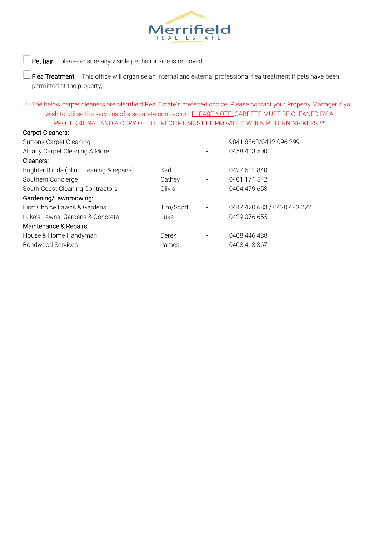

 $\rfloor$  Pet hair – please ensure any visible pet hair inside is removed;

 $\Box$  Flea Treatment – This office will organise an internal and external professional flea treatment if pets have been permitted at the property;

\*\* The below carpet cleaners are Merrifield Real Estate's preferred choice. Please contact your Property Manager if you wish to utilise the services of a separate contractor. PLEASE NOTE: CARPETS MUST BE CLEANED BY A PROFESSIONAL AND A COPY OF THE RECEIPT MUST BE PROVIDED WHEN RETURNING KEYS \*\*

## Carpet Cleaners:

| <b>Suttons Carpet Cleaning</b>             |           |                          | 9841 8863/0412 096 299      |
|--------------------------------------------|-----------|--------------------------|-----------------------------|
| Albany Carpet Cleaning & More              |           |                          | 0458 413 500                |
| Cleaners:                                  |           |                          |                             |
| Brighter Blinds (Blind cleaning & repairs) | Karl      |                          | 0427 611 840                |
| Southern Concierge                         | Cathey    | $\overline{\phantom{a}}$ | 0401 171 542                |
| South Coast Cleaning Contractors           | Olivia    |                          | 0404 479 658                |
| Gardening/Lawnmowing:                      |           |                          |                             |
| First Choice Lawns & Gardens               | Tim/Scott |                          | 0447 420 683 / 0428 483 222 |
| Luke's Lawns, Gardens & Concrete           | Luke      |                          | 0429 076 655                |
| Maintenance & Repairs:                     |           |                          |                             |
| House & Home Handyman                      | Derek     |                          | 0408 446 488                |
| <b>Bondwood Services</b>                   | James     |                          | 0408 413 367                |
|                                            |           |                          |                             |